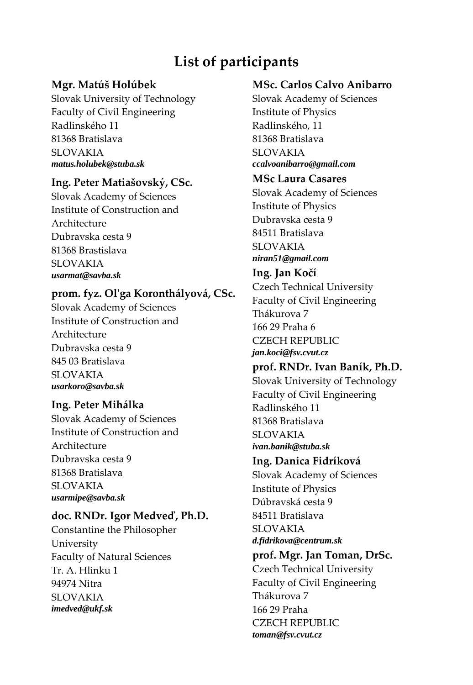# **List of participants**

# **Mgr. Matúš Holúbek**

Slovak University of Technology Faculty of Civil Engineering Radlinského 11 81368 Bratislava SLOVAKIA *matus.holubek@stuba.sk* 

#### **Ing. Peter Matiašovský, CSc.**

Slovak Academy of Sciences Institute of Construction and Architecture Dubravska cesta 9 81368 Brastislava SLOVAKIA *usarmat@savba.sk* 

# **prom. fyz. Olʹga Koronthályová, CSc.**

Slovak Academy of Sciences Institute of Construction and Architecture Dubravska cesta 9 845 03 Bratislava SLOVAKIA *usarkoro@savba.sk* 

# **Ing. Peter Mihálka**

Slovak Academy of Sciences Institute of Construction and Architecture Dubravska cesta 9 81368 Bratislava SLOVAKIA *usarmipe@savba.sk* 

#### **doc. RNDr. Igor Medveď, Ph.D.**

Constantine the Philosopher University Faculty of Natural Sciences Tr. A. Hlinku 1 94974 Nitra SLOVAKIA *imedved@ukf.sk* 

# **MSc. Carlos Calvo Anibarro**

Slovak Academy of Sciences Institute of Physics Radlinského, 11 81368 Bratislava SLOVAKIA *ccalvoanibarro@gmail.com* 

#### **MSc Laura Casares**

Slovak Academy of Sciences Institute of Physics Dubravska cesta 9 84511 Bratislava SLOVAKIA *niran51@gmail.com* 

#### **Ing. Jan Kočí**

Czech Technical University Faculty of Civil Engineering Thákurova 7 166 29 Praha 6 CZECH REPUBLIC *jan.koci@fsv.cvut.cz* 

#### **prof. RNDr. Ivan Baník, Ph.D.**

Slovak University of Technology Faculty of Civil Engineering Radlinského 11 81368 Bratislava SLOVAKIA *ivan.banik@stuba.sk* 

#### **Ing. Danica Fidríková**

Slovak Academy of Sciences Institute of Physics Dúbravská cesta 9 84511 Bratislava SLOVAKIA *d.fidrikova@centrum.sk* 

# **prof. Mgr. Jan Toman, DrSc.**

Czech Technical University Faculty of Civil Engineering Thákurova 7 166 29 Praha CZECH REPUBLIC *toman@fsv.cvut.cz*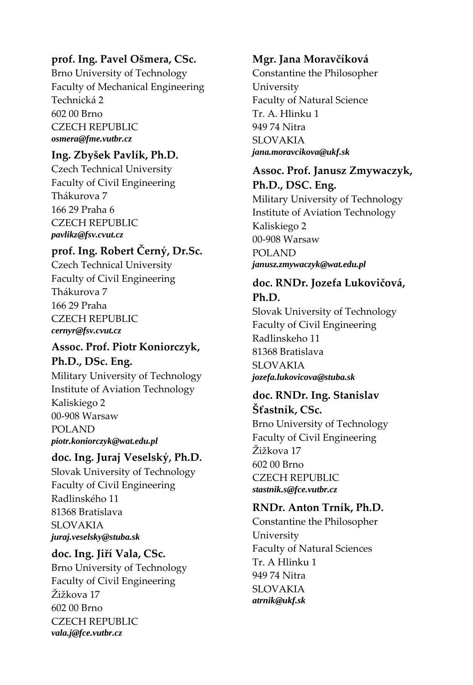#### **prof. Ing. Pavel Ošmera, CSc.**

Brno University of Technology Faculty of Mechanical Engineering Technická 2 602 00 Brno CZECH REPUBLIC *osmera@fme.vutbr.cz* 

#### **Ing. Zbyšek Pavlík, Ph.D.**

Czech Technical University Faculty of Civil Engineering Thákurova 7 166 29 Praha 6 CZECH REPUBLIC *pavlikz@fsv.cvut.cz* 

# **prof. Ing. Robert Černý, Dr.Sc.**

Czech Technical University Faculty of Civil Engineering Thákurova 7 166 29 Praha CZECH REPUBLIC *cernyr@fsv.cvut.cz* 

# **Assoc. Prof. Piotr Koniorczyk,**

**Ph.D., DSc. Eng.**

Military University of Technology Institute of Aviation Technology Kaliskiego 2 00‐908 Warsaw POLAND *piotr.koniorczyk@wat.edu.pl* 

#### **doc. Ing. Juraj Veselský, Ph.D.**

Slovak University of Technology Faculty of Civil Engineering Radlinského 11 81368 Bratislava SLOVAKIA *juraj.veselsky@stuba.sk* 

#### **doc. Ing. Jiří Vala, CSc.**

Brno University of Technology Faculty of Civil Engineering Žižkova 17 602 00 Brno CZECH REPUBLIC *vala.j@fce.vutbr.cz* 

#### **Mgr. Jana Moravčíková**

Constantine the Philosopher University Faculty of Natural Science Tr. A. Hlinku 1 949 74 Nitra SLOVAKIA *jana.moravcikova@ukf.sk* 

# **Assoc. Prof. Janusz Zmywaczyk, Ph.D., DSC. Eng.**

Military University of Technology Institute of Aviation Technology Kaliskiego 2 00‐908 Warsaw POLAND *janusz.zmywaczyk@wat.edu.pl* 

#### **doc. RNDr. Jozefa Lukovičová, Ph.D.**

Slovak University of Technology Faculty of Civil Engineering Radlinskeho 11 81368 Bratislava SLOVAKIA *jozefa.lukovicova@stuba.sk* 

# **doc. RNDr. Ing. Stanislav Šťastník, CSc.**

Brno University of Technology Faculty of Civil Engineering Žižkova 17 602 00 Brno CZECH REPUBLIC *stastnik.s@fce.vutbr.cz* 

#### **RNDr. Anton Trník, Ph.D.**

Constantine the Philosopher University Faculty of Natural Sciences Tr. A Hlinku 1 949 74 Nitra SLOVAKIA *atrnik@ukf.sk*